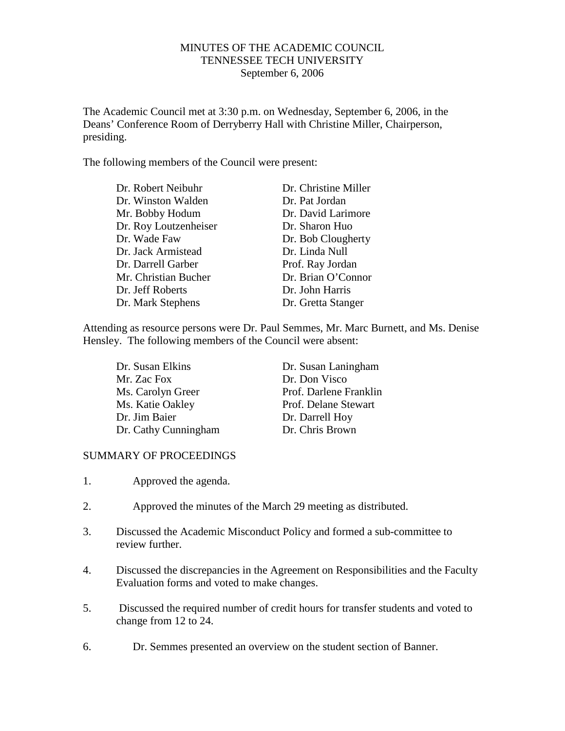## MINUTES OF THE ACADEMIC COUNCIL TENNESSEE TECH UNIVERSITY September 6, 2006

The Academic Council met at 3:30 p.m. on Wednesday, September 6, 2006, in the Deans' Conference Room of Derryberry Hall with Christine Miller, Chairperson, presiding.

The following members of the Council were present:

| Dr. Robert Neibuhr    | Dr. Christine Miller |
|-----------------------|----------------------|
| Dr. Winston Walden    | Dr. Pat Jordan       |
| Mr. Bobby Hodum       | Dr. David Larimore   |
| Dr. Roy Loutzenheiser | Dr. Sharon Huo       |
| Dr. Wade Faw          | Dr. Bob Clougherty   |
| Dr. Jack Armistead    | Dr. Linda Null       |
| Dr. Darrell Garber    | Prof. Ray Jordan     |
| Mr. Christian Bucher  | Dr. Brian O'Connor   |
| Dr. Jeff Roberts      | Dr. John Harris      |
| Dr. Mark Stephens     | Dr. Gretta Stanger   |

Attending as resource persons were Dr. Paul Semmes, Mr. Marc Burnett, and Ms. Denise Hensley. The following members of the Council were absent:

| Dr. Susan Elkins     |  |
|----------------------|--|
| Mr. Zac Fox          |  |
| Ms. Carolyn Greer    |  |
| Ms. Katie Oakley     |  |
| Dr. Jim Baier        |  |
| Dr. Cathy Cunningham |  |

Dr. Susan Laningham Dr. Don Visco Prof. Darlene Franklin Prof. Delane Stewart Dr. Darrell Hoy<br>Dr. Chris Brown

## SUMMARY OF PROCEEDINGS

- 1. Approved the agenda.
- 2. Approved the minutes of the March 29 meeting as distributed.
- 3. Discussed the Academic Misconduct Policy and formed a sub-committee to review further.
- 4. Discussed the discrepancies in the Agreement on Responsibilities and the Faculty Evaluation forms and voted to make changes.
- 5. Discussed the required number of credit hours for transfer students and voted to change from 12 to 24.
- 6. Dr. Semmes presented an overview on the student section of Banner.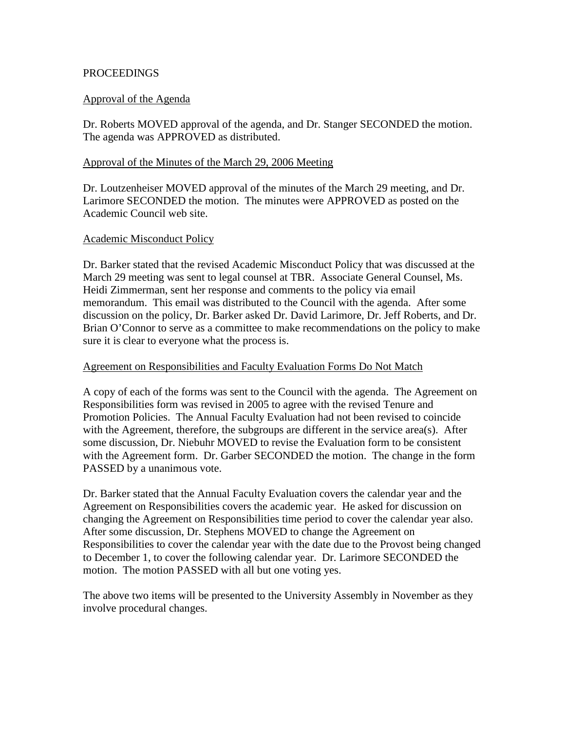## **PROCEEDINGS**

# Approval of the Agenda

Dr. Roberts MOVED approval of the agenda, and Dr. Stanger SECONDED the motion. The agenda was APPROVED as distributed.

### Approval of the Minutes of the March 29, 2006 Meeting

Dr. Loutzenheiser MOVED approval of the minutes of the March 29 meeting, and Dr. Larimore SECONDED the motion. The minutes were APPROVED as posted on the Academic Council web site.

#### Academic Misconduct Policy

Dr. Barker stated that the revised Academic Misconduct Policy that was discussed at the March 29 meeting was sent to legal counsel at TBR. Associate General Counsel, Ms. Heidi Zimmerman, sent her response and comments to the policy via email memorandum. This email was distributed to the Council with the agenda. After some discussion on the policy, Dr. Barker asked Dr. David Larimore, Dr. Jeff Roberts, and Dr. Brian O'Connor to serve as a committee to make recommendations on the policy to make sure it is clear to everyone what the process is.

#### Agreement on Responsibilities and Faculty Evaluation Forms Do Not Match

A copy of each of the forms was sent to the Council with the agenda. The Agreement on Responsibilities form was revised in 2005 to agree with the revised Tenure and Promotion Policies. The Annual Faculty Evaluation had not been revised to coincide with the Agreement, therefore, the subgroups are different in the service area(s). After some discussion, Dr. Niebuhr MOVED to revise the Evaluation form to be consistent with the Agreement form. Dr. Garber SECONDED the motion. The change in the form PASSED by a unanimous vote.

Dr. Barker stated that the Annual Faculty Evaluation covers the calendar year and the Agreement on Responsibilities covers the academic year. He asked for discussion on changing the Agreement on Responsibilities time period to cover the calendar year also. After some discussion, Dr. Stephens MOVED to change the Agreement on Responsibilities to cover the calendar year with the date due to the Provost being changed to December 1, to cover the following calendar year. Dr. Larimore SECONDED the motion. The motion PASSED with all but one voting yes.

The above two items will be presented to the University Assembly in November as they involve procedural changes.